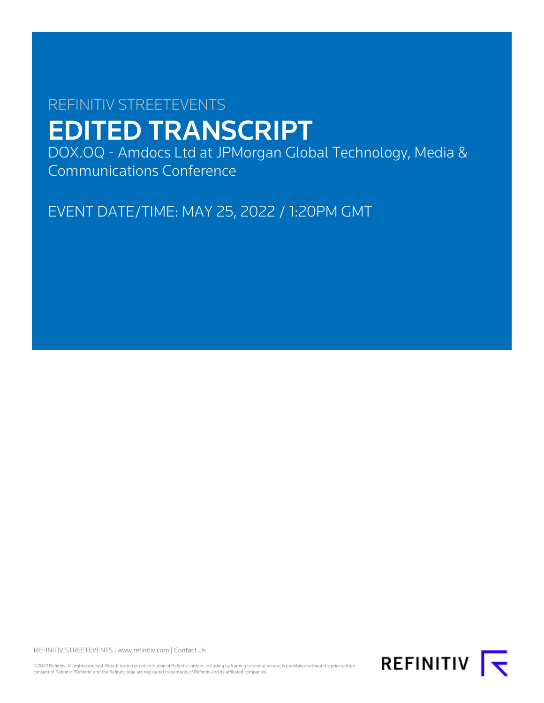# REFINITIV STREETEVENTS EDITED TRANSCRIPT

DOX.OQ - Amdocs Ltd at JPMorgan Global Technology, Media & Communications Conference

EVENT DATE/TIME: MAY 25, 2022 / 1:20PM GMT

REFINITIV STREETEVENTS | [www.refinitiv.com](https://www.refinitiv.com/) | [Contact Us](https://www.refinitiv.com/en/contact-us)

©2022 Refinitiv. All rights reserved. Republication or redistribution of Refinitiv content, including by framing or similar means, is prohibited without the prior written<br>consent of Refinitiv. 'Refinitiv' and the Refinitiv

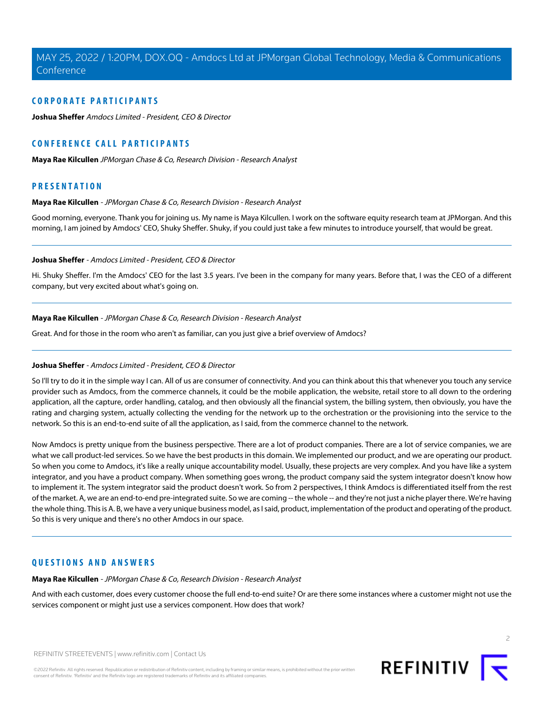# **CORPORATE PARTICIPANTS**

**[Joshua Sheffer](#page-1-0)** Amdocs Limited - President, CEO & Director

# **CONFERENCE CALL PARTICIPANTS**

**[Maya Rae Kilcullen](#page-1-1)** JPMorgan Chase & Co, Research Division - Research Analyst

# <span id="page-1-1"></span>**PRESENTATION**

#### **Maya Rae Kilcullen** - JPMorgan Chase & Co, Research Division - Research Analyst

<span id="page-1-0"></span>Good morning, everyone. Thank you for joining us. My name is Maya Kilcullen. I work on the software equity research team at JPMorgan. And this morning, I am joined by Amdocs' CEO, Shuky Sheffer. Shuky, if you could just take a few minutes to introduce yourself, that would be great.

#### **Joshua Sheffer** - Amdocs Limited - President, CEO & Director

Hi. Shuky Sheffer. I'm the Amdocs' CEO for the last 3.5 years. I've been in the company for many years. Before that, I was the CEO of a different company, but very excited about what's going on.

#### **Maya Rae Kilcullen** - JPMorgan Chase & Co, Research Division - Research Analyst

Great. And for those in the room who aren't as familiar, can you just give a brief overview of Amdocs?

# **Joshua Sheffer** - Amdocs Limited - President, CEO & Director

So I'll try to do it in the simple way I can. All of us are consumer of connectivity. And you can think about this that whenever you touch any service provider such as Amdocs, from the commerce channels, it could be the mobile application, the website, retail store to all down to the ordering application, all the capture, order handling, catalog, and then obviously all the financial system, the billing system, then obviously, you have the rating and charging system, actually collecting the vending for the network up to the orchestration or the provisioning into the service to the network. So this is an end-to-end suite of all the application, as I said, from the commerce channel to the network.

Now Amdocs is pretty unique from the business perspective. There are a lot of product companies. There are a lot of service companies, we are what we call product-led services. So we have the best products in this domain. We implemented our product, and we are operating our product. So when you come to Amdocs, it's like a really unique accountability model. Usually, these projects are very complex. And you have like a system integrator, and you have a product company. When something goes wrong, the product company said the system integrator doesn't know how to implement it. The system integrator said the product doesn't work. So from 2 perspectives, I think Amdocs is differentiated itself from the rest of the market. A, we are an end-to-end pre-integrated suite. So we are coming -- the whole -- and they're not just a niche player there. We're having the whole thing. This is A. B, we have a very unique business model, as I said, product, implementation of the product and operating of the product. So this is very unique and there's no other Amdocs in our space.

# **QUESTIONS AND ANSWERS**

**Maya Rae Kilcullen** - JPMorgan Chase & Co, Research Division - Research Analyst

And with each customer, does every customer choose the full end-to-end suite? Or are there some instances where a customer might not use the services component or might just use a services component. How does that work?

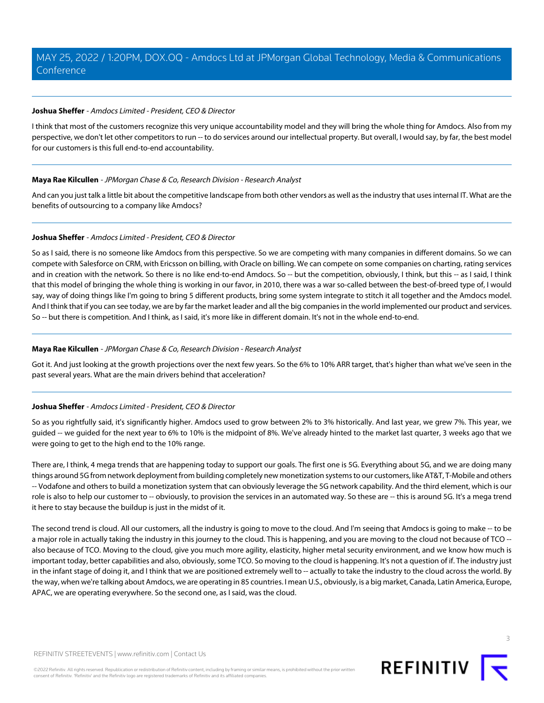# **Joshua Sheffer** - Amdocs Limited - President, CEO & Director

I think that most of the customers recognize this very unique accountability model and they will bring the whole thing for Amdocs. Also from my perspective, we don't let other competitors to run -- to do services around our intellectual property. But overall, I would say, by far, the best model for our customers is this full end-to-end accountability.

# **Maya Rae Kilcullen** - JPMorgan Chase & Co, Research Division - Research Analyst

And can you just talk a little bit about the competitive landscape from both other vendors as well as the industry that uses internal IT. What are the benefits of outsourcing to a company like Amdocs?

# **Joshua Sheffer** - Amdocs Limited - President, CEO & Director

So as I said, there is no someone like Amdocs from this perspective. So we are competing with many companies in different domains. So we can compete with Salesforce on CRM, with Ericsson on billing, with Oracle on billing. We can compete on some companies on charting, rating services and in creation with the network. So there is no like end-to-end Amdocs. So -- but the competition, obviously, I think, but this -- as I said, I think that this model of bringing the whole thing is working in our favor, in 2010, there was a war so-called between the best-of-breed type of, I would say, way of doing things like I'm going to bring 5 different products, bring some system integrate to stitch it all together and the Amdocs model. And I think that if you can see today, we are by far the market leader and all the big companies in the world implemented our product and services. So -- but there is competition. And I think, as I said, it's more like in different domain. It's not in the whole end-to-end.

# **Maya Rae Kilcullen** - JPMorgan Chase & Co, Research Division - Research Analyst

Got it. And just looking at the growth projections over the next few years. So the 6% to 10% ARR target, that's higher than what we've seen in the past several years. What are the main drivers behind that acceleration?

## **Joshua Sheffer** - Amdocs Limited - President, CEO & Director

So as you rightfully said, it's significantly higher. Amdocs used to grow between 2% to 3% historically. And last year, we grew 7%. This year, we guided -- we guided for the next year to 6% to 10% is the midpoint of 8%. We've already hinted to the market last quarter, 3 weeks ago that we were going to get to the high end to the 10% range.

There are, I think, 4 mega trends that are happening today to support our goals. The first one is 5G. Everything about 5G, and we are doing many things around 5G from network deployment from building completely new monetization systems to our customers, like AT&T, T-Mobile and others -- Vodafone and others to build a monetization system that can obviously leverage the 5G network capability. And the third element, which is our role is also to help our customer to -- obviously, to provision the services in an automated way. So these are -- this is around 5G. It's a mega trend it here to stay because the buildup is just in the midst of it.

The second trend is cloud. All our customers, all the industry is going to move to the cloud. And I'm seeing that Amdocs is going to make -- to be a major role in actually taking the industry in this journey to the cloud. This is happening, and you are moving to the cloud not because of TCO - also because of TCO. Moving to the cloud, give you much more agility, elasticity, higher metal security environment, and we know how much is important today, better capabilities and also, obviously, some TCO. So moving to the cloud is happening. It's not a question of if. The industry just in the infant stage of doing it, and I think that we are positioned extremely well to -- actually to take the industry to the cloud across the world. By the way, when we're talking about Amdocs, we are operating in 85 countries. I mean U.S., obviously, is a big market, Canada, Latin America, Europe, APAC, we are operating everywhere. So the second one, as I said, was the cloud.

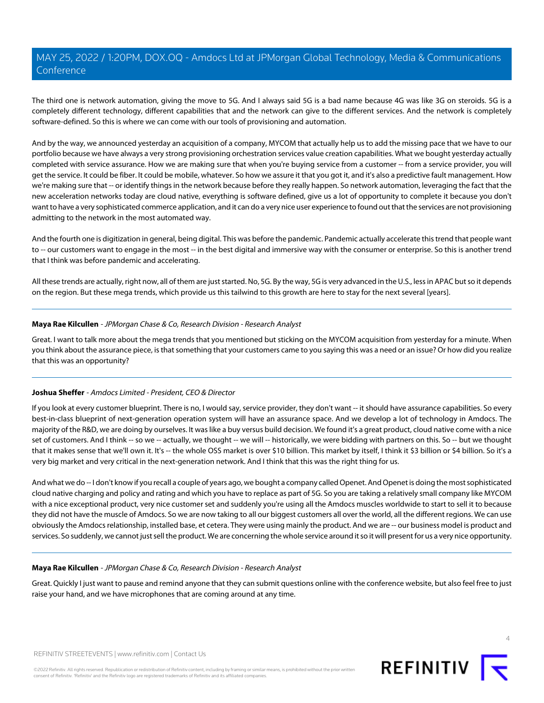The third one is network automation, giving the move to 5G. And I always said 5G is a bad name because 4G was like 3G on steroids. 5G is a completely different technology, different capabilities that and the network can give to the different services. And the network is completely software-defined. So this is where we can come with our tools of provisioning and automation.

And by the way, we announced yesterday an acquisition of a company, MYCOM that actually help us to add the missing pace that we have to our portfolio because we have always a very strong provisioning orchestration services value creation capabilities. What we bought yesterday actually completed with service assurance. How we are making sure that when you're buying service from a customer -- from a service provider, you will get the service. It could be fiber. It could be mobile, whatever. So how we assure it that you got it, and it's also a predictive fault management. How we're making sure that -- or identify things in the network because before they really happen. So network automation, leveraging the fact that the new acceleration networks today are cloud native, everything is software defined, give us a lot of opportunity to complete it because you don't want to have a very sophisticated commerce application, and it can do a very nice user experience to found out that the services are not provisioning admitting to the network in the most automated way.

And the fourth one is digitization in general, being digital. This was before the pandemic. Pandemic actually accelerate this trend that people want to -- our customers want to engage in the most -- in the best digital and immersive way with the consumer or enterprise. So this is another trend that I think was before pandemic and accelerating.

All these trends are actually, right now, all of them are just started. No, 5G. By the way, 5G is very advanced in the U.S., less in APAC but so it depends on the region. But these mega trends, which provide us this tailwind to this growth are here to stay for the next several [years].

# **Maya Rae Kilcullen** - JPMorgan Chase & Co, Research Division - Research Analyst

Great. I want to talk more about the mega trends that you mentioned but sticking on the MYCOM acquisition from yesterday for a minute. When you think about the assurance piece, is that something that your customers came to you saying this was a need or an issue? Or how did you realize that this was an opportunity?

# **Joshua Sheffer** - Amdocs Limited - President, CEO & Director

If you look at every customer blueprint. There is no, I would say, service provider, they don't want -- it should have assurance capabilities. So every best-in-class blueprint of next-generation operation system will have an assurance space. And we develop a lot of technology in Amdocs. The majority of the R&D, we are doing by ourselves. It was like a buy versus build decision. We found it's a great product, cloud native come with a nice set of customers. And I think -- so we -- actually, we thought -- we will -- historically, we were bidding with partners on this. So -- but we thought that it makes sense that we'll own it. It's -- the whole OSS market is over \$10 billion. This market by itself, I think it \$3 billion or \$4 billion. So it's a very big market and very critical in the next-generation network. And I think that this was the right thing for us.

And what we do -- I don't know if you recall a couple of years ago, we bought a company called Openet. And Openet is doing the most sophisticated cloud native charging and policy and rating and which you have to replace as part of 5G. So you are taking a relatively small company like MYCOM with a nice exceptional product, very nice customer set and suddenly you're using all the Amdocs muscles worldwide to start to sell it to because they did not have the muscle of Amdocs. So we are now taking to all our biggest customers all over the world, all the different regions. We can use obviously the Amdocs relationship, installed base, et cetera. They were using mainly the product. And we are -- our business model is product and services. So suddenly, we cannot just sell the product. We are concerning the whole service around it so it will present for us a very nice opportunity.

## **Maya Rae Kilcullen** - JPMorgan Chase & Co, Research Division - Research Analyst

Great. Quickly I just want to pause and remind anyone that they can submit questions online with the conference website, but also feel free to just raise your hand, and we have microphones that are coming around at any time.

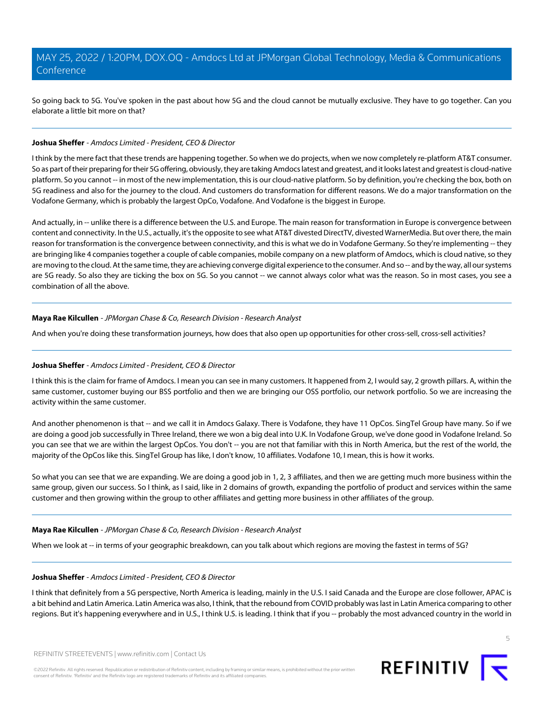So going back to 5G. You've spoken in the past about how 5G and the cloud cannot be mutually exclusive. They have to go together. Can you elaborate a little bit more on that?

## **Joshua Sheffer** - Amdocs Limited - President, CEO & Director

I think by the mere fact that these trends are happening together. So when we do projects, when we now completely re-platform AT&T consumer. So as part of their preparing for their 5G offering, obviously, they are taking Amdocs latest and greatest, and it looks latest and greatest is cloud-native platform. So you cannot -- in most of the new implementation, this is our cloud-native platform. So by definition, you're checking the box, both on 5G readiness and also for the journey to the cloud. And customers do transformation for different reasons. We do a major transformation on the Vodafone Germany, which is probably the largest OpCo, Vodafone. And Vodafone is the biggest in Europe.

And actually, in -- unlike there is a difference between the U.S. and Europe. The main reason for transformation in Europe is convergence between content and connectivity. In the U.S., actually, it's the opposite to see what AT&T divested DirectTV, divested WarnerMedia. But over there, the main reason for transformation is the convergence between connectivity, and this is what we do in Vodafone Germany. So they're implementing -- they are bringing like 4 companies together a couple of cable companies, mobile company on a new platform of Amdocs, which is cloud native, so they are moving to the cloud. At the same time, they are achieving converge digital experience to the consumer. And so-- and by the way, all our systems are 5G ready. So also they are ticking the box on 5G. So you cannot -- we cannot always color what was the reason. So in most cases, you see a combination of all the above.

# **Maya Rae Kilcullen** - JPMorgan Chase & Co, Research Division - Research Analyst

And when you're doing these transformation journeys, how does that also open up opportunities for other cross-sell, cross-sell activities?

# **Joshua Sheffer** - Amdocs Limited - President, CEO & Director

I think this is the claim for frame of Amdocs. I mean you can see in many customers. It happened from 2, I would say, 2 growth pillars. A, within the same customer, customer buying our BSS portfolio and then we are bringing our OSS portfolio, our network portfolio. So we are increasing the activity within the same customer.

And another phenomenon is that -- and we call it in Amdocs Galaxy. There is Vodafone, they have 11 OpCos. SingTel Group have many. So if we are doing a good job successfully in Three Ireland, there we won a big deal into U.K. In Vodafone Group, we've done good in Vodafone Ireland. So you can see that we are within the largest OpCos. You don't -- you are not that familiar with this in North America, but the rest of the world, the majority of the OpCos like this. SingTel Group has like, I don't know, 10 affiliates. Vodafone 10, I mean, this is how it works.

So what you can see that we are expanding. We are doing a good job in 1, 2, 3 affiliates, and then we are getting much more business within the same group, given our success. So I think, as I said, like in 2 domains of growth, expanding the portfolio of product and services within the same customer and then growing within the group to other affiliates and getting more business in other affiliates of the group.

## **Maya Rae Kilcullen** - JPMorgan Chase & Co, Research Division - Research Analyst

When we look at -- in terms of your geographic breakdown, can you talk about which regions are moving the fastest in terms of 5G?

# **Joshua Sheffer** - Amdocs Limited - President, CEO & Director

I think that definitely from a 5G perspective, North America is leading, mainly in the U.S. I said Canada and the Europe are close follower, APAC is a bit behind and Latin America. Latin America was also, I think, that the rebound from COVID probably was last in Latin America comparing to other regions. But it's happening everywhere and in U.S., I think U.S. is leading. I think that if you -- probably the most advanced country in the world in

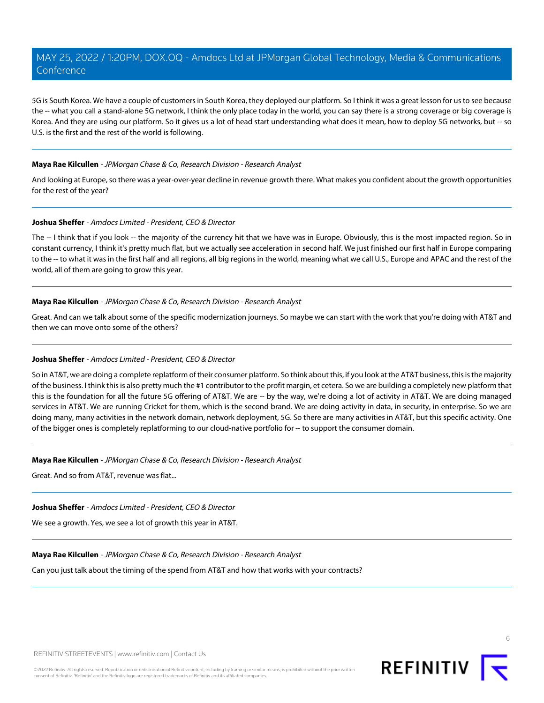5G is South Korea. We have a couple of customers in South Korea, they deployed our platform. So I think it was a great lesson for us to see because the -- what you call a stand-alone 5G network, I think the only place today in the world, you can say there is a strong coverage or big coverage is Korea. And they are using our platform. So it gives us a lot of head start understanding what does it mean, how to deploy 5G networks, but -- so U.S. is the first and the rest of the world is following.

## **Maya Rae Kilcullen** - JPMorgan Chase & Co, Research Division - Research Analyst

And looking at Europe, so there was a year-over-year decline in revenue growth there. What makes you confident about the growth opportunities for the rest of the year?

# **Joshua Sheffer** - Amdocs Limited - President, CEO & Director

The -- I think that if you look -- the majority of the currency hit that we have was in Europe. Obviously, this is the most impacted region. So in constant currency, I think it's pretty much flat, but we actually see acceleration in second half. We just finished our first half in Europe comparing to the -- to what it was in the first half and all regions, all big regions in the world, meaning what we call U.S., Europe and APAC and the rest of the world, all of them are going to grow this year.

# **Maya Rae Kilcullen** - JPMorgan Chase & Co, Research Division - Research Analyst

Great. And can we talk about some of the specific modernization journeys. So maybe we can start with the work that you're doing with AT&T and then we can move onto some of the others?

# **Joshua Sheffer** - Amdocs Limited - President, CEO & Director

So in AT&T, we are doing a complete replatform of their consumer platform. So think about this, if you look at the AT&T business, this is the majority of the business. I think this is also pretty much the #1 contributor to the profit margin, et cetera. So we are building a completely new platform that this is the foundation for all the future 5G offering of AT&T. We are -- by the way, we're doing a lot of activity in AT&T. We are doing managed services in AT&T. We are running Cricket for them, which is the second brand. We are doing activity in data, in security, in enterprise. So we are doing many, many activities in the network domain, network deployment, 5G. So there are many activities in AT&T, but this specific activity. One of the bigger ones is completely replatforming to our cloud-native portfolio for -- to support the consumer domain.

## **Maya Rae Kilcullen** - JPMorgan Chase & Co, Research Division - Research Analyst

Great. And so from AT&T, revenue was flat...

## **Joshua Sheffer** - Amdocs Limited - President, CEO & Director

We see a growth. Yes, we see a lot of growth this year in AT&T.

# **Maya Rae Kilcullen** - JPMorgan Chase & Co, Research Division - Research Analyst

Can you just talk about the timing of the spend from AT&T and how that works with your contracts?



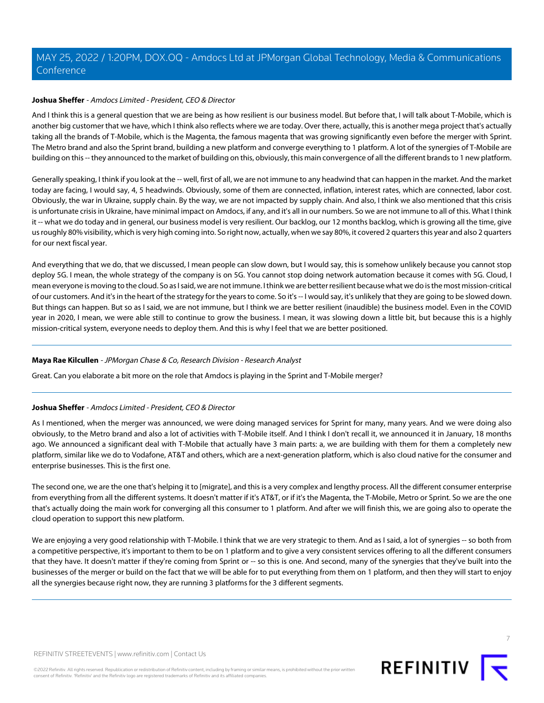# **Joshua Sheffer** - Amdocs Limited - President, CEO & Director

And I think this is a general question that we are being as how resilient is our business model. But before that, I will talk about T-Mobile, which is another big customer that we have, which I think also reflects where we are today. Over there, actually, this is another mega project that's actually taking all the brands of T-Mobile, which is the Magenta, the famous magenta that was growing significantly even before the merger with Sprint. The Metro brand and also the Sprint brand, building a new platform and converge everything to 1 platform. A lot of the synergies of T-Mobile are building on this -- they announced to the market of building on this, obviously, this main convergence of all the different brands to 1 new platform.

Generally speaking, I think if you look at the -- well, first of all, we are not immune to any headwind that can happen in the market. And the market today are facing, I would say, 4, 5 headwinds. Obviously, some of them are connected, inflation, interest rates, which are connected, labor cost. Obviously, the war in Ukraine, supply chain. By the way, we are not impacted by supply chain. And also, I think we also mentioned that this crisis is unfortunate crisis in Ukraine, have minimal impact on Amdocs, if any, and it's all in our numbers. So we are not immune to all of this. What I think it -- what we do today and in general, our business model is very resilient. Our backlog, our 12 months backlog, which is growing all the time, give us roughly 80% visibility, which is very high coming into. So right now, actually, when we say 80%, it covered 2 quarters this year and also 2 quarters for our next fiscal year.

And everything that we do, that we discussed, I mean people can slow down, but I would say, this is somehow unlikely because you cannot stop deploy 5G. I mean, the whole strategy of the company is on 5G. You cannot stop doing network automation because it comes with 5G. Cloud, I mean everyone is moving to the cloud. So as I said, we are not immune. I think we are better resilient because what we do is the most mission-critical of our customers. And it's in the heart of the strategy for the years to come. So it's -- I would say, it's unlikely that they are going to be slowed down. But things can happen. But so as I said, we are not immune, but I think we are better resilient (inaudible) the business model. Even in the COVID year in 2020, I mean, we were able still to continue to grow the business. I mean, it was slowing down a little bit, but because this is a highly mission-critical system, everyone needs to deploy them. And this is why I feel that we are better positioned.

# **Maya Rae Kilcullen** - JPMorgan Chase & Co, Research Division - Research Analyst

Great. Can you elaborate a bit more on the role that Amdocs is playing in the Sprint and T-Mobile merger?

## **Joshua Sheffer** - Amdocs Limited - President, CEO & Director

As I mentioned, when the merger was announced, we were doing managed services for Sprint for many, many years. And we were doing also obviously, to the Metro brand and also a lot of activities with T-Mobile itself. And I think I don't recall it, we announced it in January, 18 months ago. We announced a significant deal with T-Mobile that actually have 3 main parts: a, we are building with them for them a completely new platform, similar like we do to Vodafone, AT&T and others, which are a next-generation platform, which is also cloud native for the consumer and enterprise businesses. This is the first one.

The second one, we are the one that's helping it to [migrate], and this is a very complex and lengthy process. All the different consumer enterprise from everything from all the different systems. It doesn't matter if it's AT&T, or if it's the Magenta, the T-Mobile, Metro or Sprint. So we are the one that's actually doing the main work for converging all this consumer to 1 platform. And after we will finish this, we are going also to operate the cloud operation to support this new platform.

We are enjoying a very good relationship with T-Mobile. I think that we are very strategic to them. And as I said, a lot of synergies -- so both from a competitive perspective, it's important to them to be on 1 platform and to give a very consistent services offering to all the different consumers that they have. It doesn't matter if they're coming from Sprint or -- so this is one. And second, many of the synergies that they've built into the businesses of the merger or build on the fact that we will be able for to put everything from them on 1 platform, and then they will start to enjoy all the synergies because right now, they are running 3 platforms for the 3 different segments.

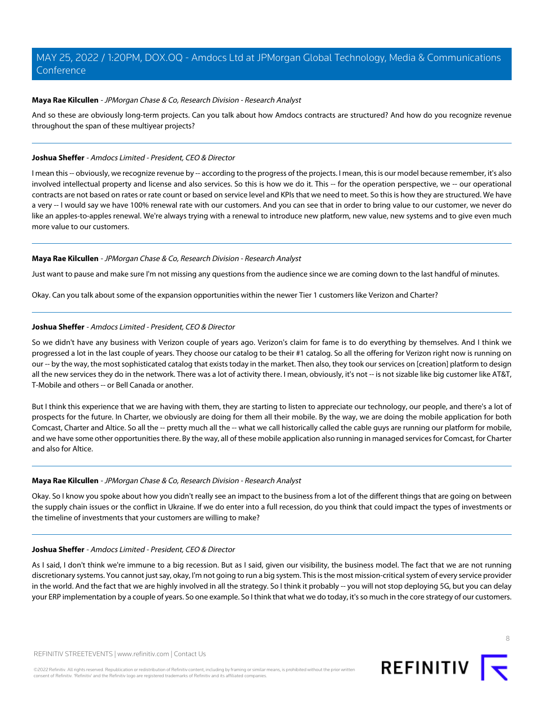# **Maya Rae Kilcullen** - JPMorgan Chase & Co, Research Division - Research Analyst

And so these are obviously long-term projects. Can you talk about how Amdocs contracts are structured? And how do you recognize revenue throughout the span of these multiyear projects?

## **Joshua Sheffer** - Amdocs Limited - President, CEO & Director

I mean this -- obviously, we recognize revenue by -- according to the progress of the projects. I mean, this is our model because remember, it's also involved intellectual property and license and also services. So this is how we do it. This -- for the operation perspective, we -- our operational contracts are not based on rates or rate count or based on service level and KPIs that we need to meet. So this is how they are structured. We have a very -- I would say we have 100% renewal rate with our customers. And you can see that in order to bring value to our customer, we never do like an apples-to-apples renewal. We're always trying with a renewal to introduce new platform, new value, new systems and to give even much more value to our customers.

# **Maya Rae Kilcullen** - JPMorgan Chase & Co, Research Division - Research Analyst

Just want to pause and make sure I'm not missing any questions from the audience since we are coming down to the last handful of minutes.

Okay. Can you talk about some of the expansion opportunities within the newer Tier 1 customers like Verizon and Charter?

# **Joshua Sheffer** - Amdocs Limited - President, CEO & Director

So we didn't have any business with Verizon couple of years ago. Verizon's claim for fame is to do everything by themselves. And I think we progressed a lot in the last couple of years. They choose our catalog to be their #1 catalog. So all the offering for Verizon right now is running on our -- by the way, the most sophisticated catalog that exists today in the market. Then also, they took our services on [creation] platform to design all the new services they do in the network. There was a lot of activity there. I mean, obviously, it's not -- is not sizable like big customer like AT&T, T-Mobile and others -- or Bell Canada or another.

But I think this experience that we are having with them, they are starting to listen to appreciate our technology, our people, and there's a lot of prospects for the future. In Charter, we obviously are doing for them all their mobile. By the way, we are doing the mobile application for both Comcast, Charter and Altice. So all the -- pretty much all the -- what we call historically called the cable guys are running our platform for mobile, and we have some other opportunities there. By the way, all of these mobile application also running in managed services for Comcast, for Charter and also for Altice.

## **Maya Rae Kilcullen** - JPMorgan Chase & Co, Research Division - Research Analyst

Okay. So I know you spoke about how you didn't really see an impact to the business from a lot of the different things that are going on between the supply chain issues or the conflict in Ukraine. If we do enter into a full recession, do you think that could impact the types of investments or the timeline of investments that your customers are willing to make?

## **Joshua Sheffer** - Amdocs Limited - President, CEO & Director

As I said, I don't think we're immune to a big recession. But as I said, given our visibility, the business model. The fact that we are not running discretionary systems. You cannot just say, okay, I'm not going to run a big system. This is the most mission-critical system of every service provider in the world. And the fact that we are highly involved in all the strategy. So I think it probably -- you will not stop deploying 5G, but you can delay your ERP implementation by a couple of years. So one example. So I think that what we do today, it's so much in the core strategy of our customers.

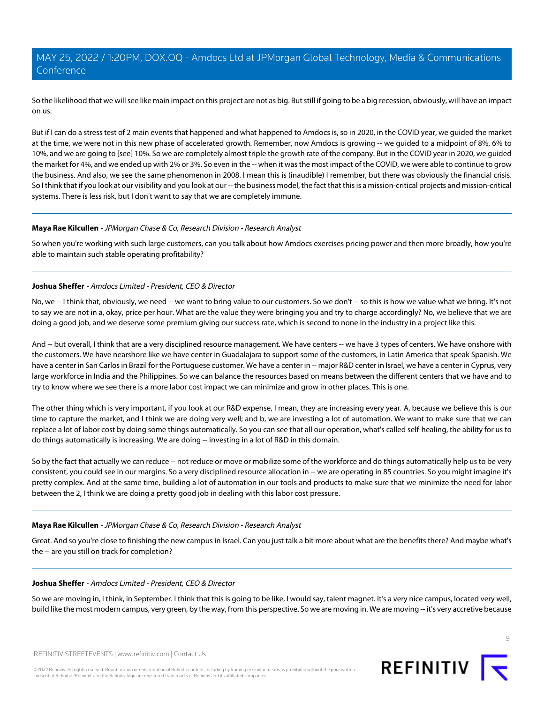So the likelihood that we will see like main impact on this project are not as big. But still if going to be a big recession, obviously, will have an impact on us.

But if I can do a stress test of 2 main events that happened and what happened to Amdocs is, so in 2020, in the COVID year, we guided the market at the time, we were not in this new phase of accelerated growth. Remember, now Amdocs is growing -- we guided to a midpoint of 8%, 6% to 10%, and we are going to [see] 10%. So we are completely almost triple the growth rate of the company. But in the COVID year in 2020, we guided the market for 4%, and we ended up with 2% or 3%. So even in the -- when it was the most impact of the COVID, we were able to continue to grow the business. And also, we see the same phenomenon in 2008. I mean this is (inaudible) I remember, but there was obviously the financial crisis. So I think that if you look at our visibility and you look at our -- the business model, the fact that this is a mission-critical projects and mission-critical systems. There is less risk, but I don't want to say that we are completely immune.

# **Maya Rae Kilcullen** - JPMorgan Chase & Co, Research Division - Research Analyst

So when you're working with such large customers, can you talk about how Amdocs exercises pricing power and then more broadly, how you're able to maintain such stable operating profitability?

# **Joshua Sheffer** - Amdocs Limited - President, CEO & Director

No, we -- I think that, obviously, we need -- we want to bring value to our customers. So we don't -- so this is how we value what we bring. It's not to say we are not in a, okay, price per hour. What are the value they were bringing you and try to charge accordingly? No, we believe that we are doing a good job, and we deserve some premium giving our success rate, which is second to none in the industry in a project like this.

And -- but overall, I think that are a very disciplined resource management. We have centers -- we have 3 types of centers. We have onshore with the customers. We have nearshore like we have center in Guadalajara to support some of the customers, in Latin America that speak Spanish. We have a center in San Carlos in Brazil for the Portuguese customer. We have a center in -- major R&D center in Israel, we have a center in Cyprus, very large workforce in India and the Philippines. So we can balance the resources based on means between the different centers that we have and to try to know where we see there is a more labor cost impact we can minimize and grow in other places. This is one.

The other thing which is very important, if you look at our R&D expense, I mean, they are increasing every year. A, because we believe this is our time to capture the market, and I think we are doing very well; and b, we are investing a lot of automation. We want to make sure that we can replace a lot of labor cost by doing some things automatically. So you can see that all our operation, what's called self-healing, the ability for us to do things automatically is increasing. We are doing -- investing in a lot of R&D in this domain.

So by the fact that actually we can reduce -- not reduce or move or mobilize some of the workforce and do things automatically help us to be very consistent, you could see in our margins. So a very disciplined resource allocation in -- we are operating in 85 countries. So you might imagine it's pretty complex. And at the same time, building a lot of automation in our tools and products to make sure that we minimize the need for labor between the 2, I think we are doing a pretty good job in dealing with this labor cost pressure.

# **Maya Rae Kilcullen** - JPMorgan Chase & Co, Research Division - Research Analyst

Great. And so you're close to finishing the new campus in Israel. Can you just talk a bit more about what are the benefits there? And maybe what's the -- are you still on track for completion?

## **Joshua Sheffer** - Amdocs Limited - President, CEO & Director

So we are moving in, I think, in September. I think that this is going to be like, I would say, talent magnet. It's a very nice campus, located very well, build like the most modern campus, very green, by the way, from this perspective. So we are moving in. We are moving -- it's very accretive because